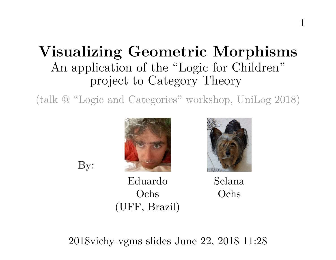# **Visualizing Geometric Morphisms** An application of the "Logic for Children" project to Category Theory

(talk @ "Logic and Categories" workshop, UniLog 2018)



By:



Eduardo Ochs (UFF, Brazil) Selana Ochs

2018vichy-vgms-slides June 22, 2018 11:28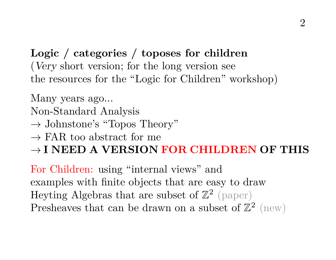**Logic / categories / toposes for children** (Very short version; for the long version see the resources for the "Logic for Children" workshop)

Many years ago...

Non-Standard Analysis

 $\rightarrow$  Johnstone's "Topos Theory"

 $\rightarrow$  FAR too abstract for me

→ **I NEED A VERSION FOR CHILDREN OF THIS**

For Children: using "internal views" and examples with finite objects that are easy to draw Heyting Algebras that are subset of  $\mathbb{Z}^2$  (paper) Presheaves that can be drawn on a subset of  $\mathbb{Z}^2$  (new)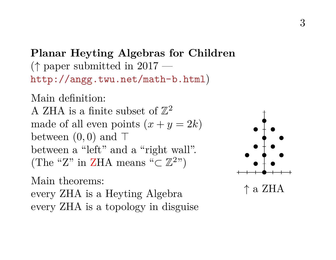**Planar Heyting Algebras for Children** (↑ paper submitted in 2017 <http://angg.twu.net/math-b.html>)

Main definition: A ZHA is a finite subset of  $\mathbb{Z}^2$ made of all even points  $(x + y = 2k)$ between  $(0, 0)$  and  $\top$ between a "left" and a "right wall". (The "Z" in ZHA means " $\subset \mathbb{Z}^{2}$ ")

Main theorems:

every ZHA is a Heyting Algebra every ZHA is a topology in disguise

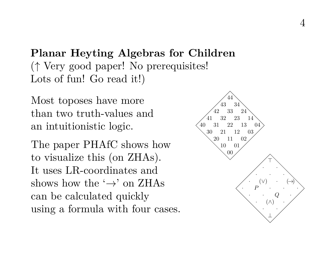**Planar Heyting Algebras for Children** (↑ Very good paper! No prerequisites! Lots of fun! Go read it!)

Most toposes have more than two truth-values and an intuitionistic logic.

The paper PHAfC shows how to visualize this (on ZHAs). It uses LR-coordinates and shows how the  $\leftrightarrow$  on ZHAs can be calculated quickly using a formula with four cases.

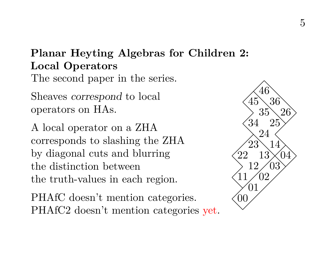# **Planar Heyting Algebras for Children 2: Local Operators** The second paper in the series.

Sheaves correspond to local operators on HAs.

A local operator on a ZHA corresponds to slashing the ZHA by diagonal cuts and blurring the distinction between the truth-values in each region.

PHAfC doesn't mention categories. PHAfC2 doesn't mention categories yet.

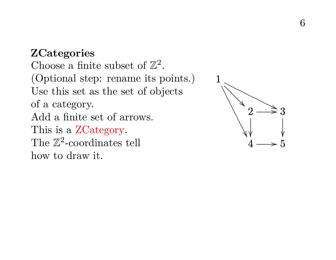### **ZCategories**

Choose a finite subset of  $\mathbb{Z}^2$ . (Optional step: rename its points.) Use this set as the set of objects of a category. Add a finite set of arrows. This is a ZCategory. The  $\mathbb{Z}^2$ -coordinates tell how to draw it.

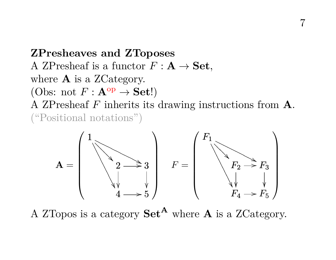**ZPresheaves and ZToposes** A ZPresheaf is a functor  $F: \mathbf{A} \to \mathbf{Set}$ , where **A** is a ZCategory. (Obs: not  $F : \mathbf{A}^{\text{op}} \to \mathbf{Set}!$ ) A ZPresheaf F inherits its drawing instructions from A. ("Positional notations")

7



A ZTopos is a category  $\mathbf{Set}^{\mathbf{A}}$  where **A** is a ZCategory.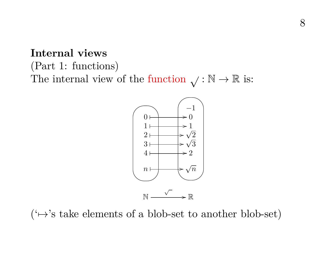(Part 1: functions) The internal view of the function  $\sqrt{\cdot \mathbb{N}} \to \mathbb{R}$  is:



 $(\leftrightarrow)$ 's take elements of a blob-set to another blob-set)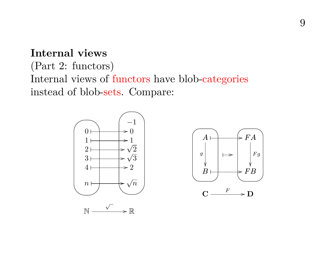# (Part 2: functors) Internal views of functors have blob-categories instead of blob-sets. Compare:



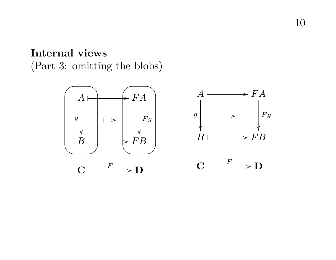(Part 3: omitting the blobs)

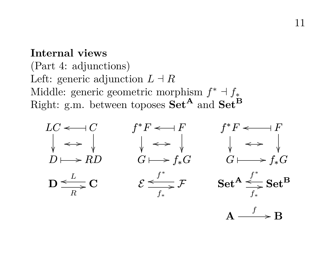(Part 4: adjunctions) Left: generic adjunction  $L \dashv R$ Middle: generic geometric morphism  $f^* \dashv f_*$ Right: g.m. between toposes  $\mathbf{Set}^{\mathbf{A}}$  and  $\mathbf{Set}^{\mathbf{B}}$ 

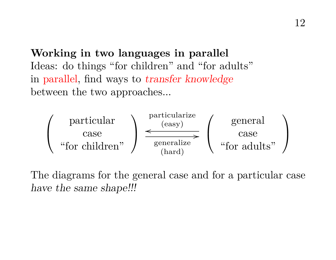**Working in two languages in parallel** Ideas: do things "for children" and "for adults" in parallel, find ways to transfer knowledge between the two approaches...



The diagrams for the general case and for a particular case have the same shape!!!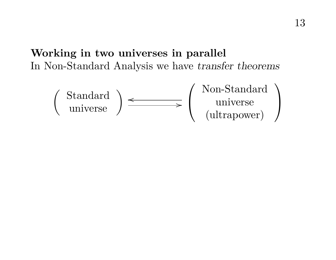# **Working in two universes in parallel** In Non-Standard Analysis we have transfer theorems

$$
\left(\begin{array}{c}\text{Standard} \\ \text{universe}\end{array}\right) \xrightarrow{\text{Non-Standard}} \left(\begin{array}{c}\text{Non-Standard} \\ \text{universe} \\ \text{(ultrapower)}\end{array}\right)
$$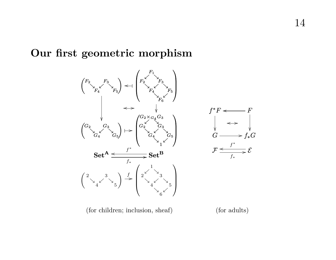### **Our first geometric morphism**

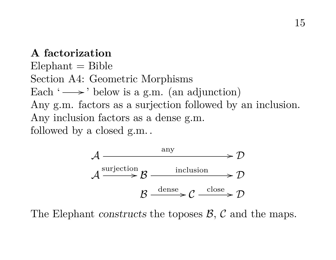### **A factorization**

 $E$ lephant  $=$  Bible Section A4: Geometric Morphisms Each  $\rightarrow$  below is a g.m. (an adjunction) Any g.m. factors as a surjection followed by an inclusion. Any inclusion factors as a dense g.m. followed by a closed g.m. .



The Elephant constructs the toposes  $\beta$ ,  $\beta$  and the maps.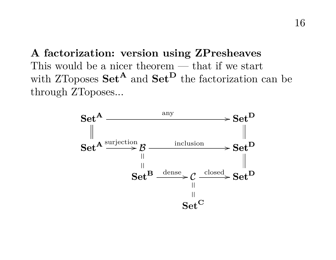**A factorization: version using ZPresheaves** This would be a nicer theorem — that if we start with ZToposes  $\mathbf{Set}^{\mathbf{A}}$  and  $\mathbf{Set}^{\mathbf{D}}$  the factorization can be through ZToposes...

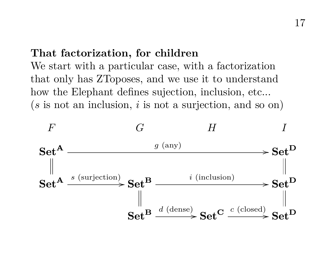# **That factorization, for children**

We start with a particular case, with a factorization that only has ZToposes, and we use it to understand how the Elephant defines sujection, inclusion, etc...  $(s$  is not an inclusion, i is not a surjection, and so on)

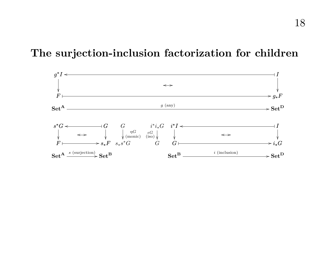### **The surjection-inclusion factorization for children**

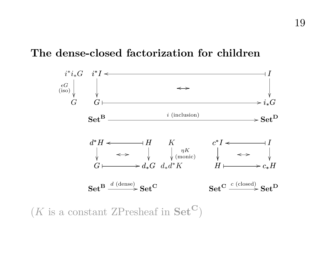### **The dense-closed factorization for children**



 $(K$  is a constant ZPresheaf in  $Set^{\mathbf{C}}$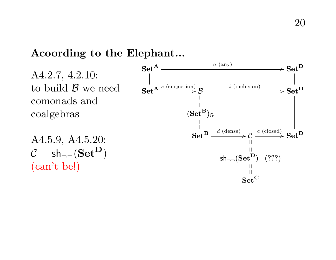### **Acoording to the Elephant...**

A4.2.7, 4.2.10: to build  $\beta$  we need comonads and coalgebras

A4.5.9, A4.5.20:  $C = sh_{\neg \neg}(\mathbf{Set}^{\mathbf{D}})$ (can't be!)

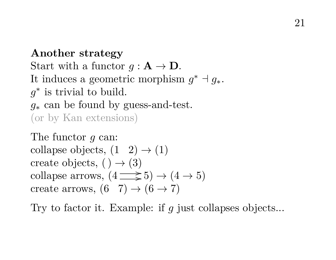**Another strategy** Start with a functor  $q : A \to D$ . It induces a geometric morphism  $g^* \dashv g_*$ .  $g^*$  is trivial to build.  $q_*$  can be found by guess-and-test. (or by Kan extensions)

The functor q can: collapse objects,  $(1 \t2) \rightarrow (1)$ create objects,  $( ) \rightarrow (3)$ collapse arrows,  $(4 \implies 5) \rightarrow (4 \rightarrow 5)$ create arrows,  $(6 \t7) \rightarrow (6 \rightarrow 7)$ 

Try to factor it. Example: if g just collapses objects...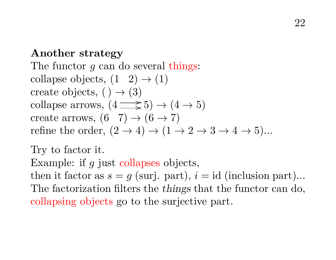### **Another strategy**

The functor  $q$  can do several things: collapse objects,  $(1 \t2) \rightarrow (1)$ create objects,  $( ) \rightarrow (3)$ collapse arrows,  $(4 \implies 5) \rightarrow (4 \rightarrow 5)$ create arrows,  $(6 \ 7) \rightarrow (6 \rightarrow 7)$ refine the order,  $(2 \rightarrow 4) \rightarrow (1 \rightarrow 2 \rightarrow 3 \rightarrow 4 \rightarrow 5)$ ...

Try to factor it. Example: if q just collapses objects, then it factor as  $s = q$  (surj. part),  $i = id$  (inclusion part)... The factorization filters the things that the functor can do, collapsing objects go to the surjective part.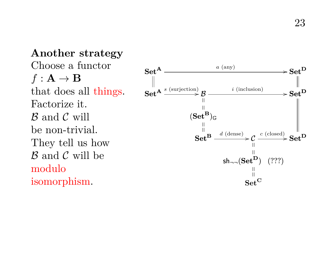**Another strategy** Choose a functor  $f: \mathbf{A} \to \mathbf{B}$ that does all things. Factorize it.  $\beta$  and  $\beta$  will be non-trivial. They tell us how  $\beta$  and  $\beta$  will be modulo isomorphism.